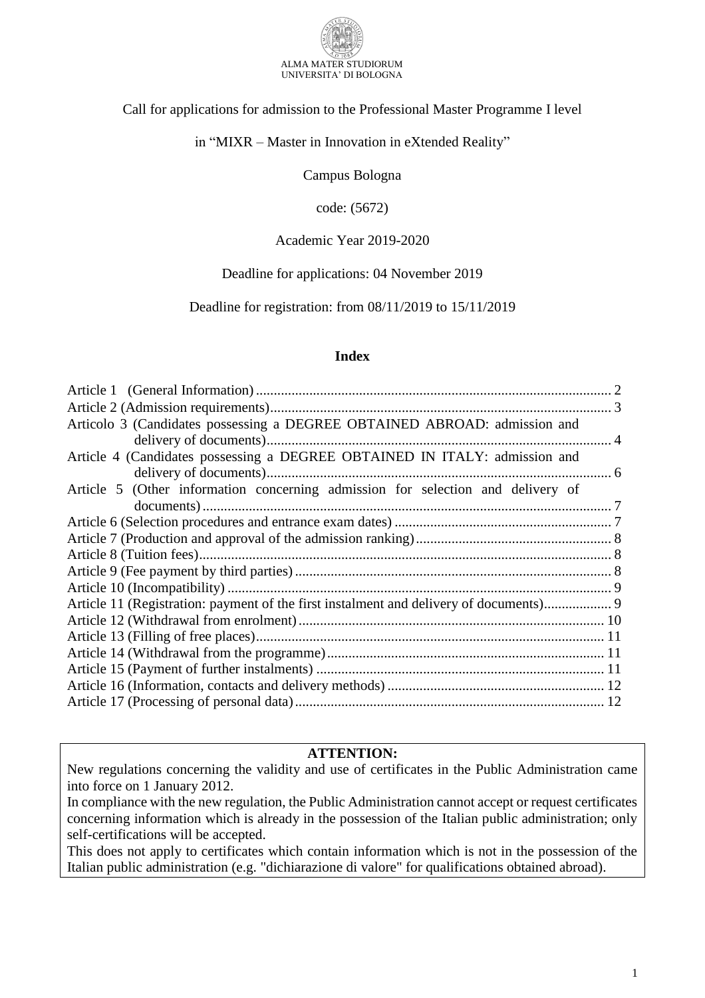

## Call for applications for admission to the Professional Master Programme I level

in "MIXR – Master in Innovation in eXtended Reality"

Campus Bologna

code: (5672)

# Academic Year 2019-2020

## Deadline for applications: 04 November 2019

Deadline for registration: from 08/11/2019 to 15/11/2019

#### **Index**

| Articolo 3 (Candidates possessing a DEGREE OBTAINED ABROAD: admission and              |  |
|----------------------------------------------------------------------------------------|--|
|                                                                                        |  |
| Article 4 (Candidates possessing a DEGREE OBTAINED IN ITALY: admission and             |  |
|                                                                                        |  |
| Article 5 (Other information concerning admission for selection and delivery of        |  |
|                                                                                        |  |
|                                                                                        |  |
|                                                                                        |  |
|                                                                                        |  |
|                                                                                        |  |
|                                                                                        |  |
| Article 11 (Registration: payment of the first instalment and delivery of documents) 9 |  |
|                                                                                        |  |
|                                                                                        |  |
|                                                                                        |  |
|                                                                                        |  |
|                                                                                        |  |
|                                                                                        |  |
|                                                                                        |  |

# **ATTENTION:**

New regulations concerning the validity and use of certificates in the Public Administration came into force on 1 January 2012.

In compliance with the new regulation, the Public Administration cannot accept or request certificates concerning information which is already in the possession of the Italian public administration; only self-certifications will be accepted.

This does not apply to certificates which contain information which is not in the possession of the Italian public administration (e.g. "dichiarazione di valore" for qualifications obtained abroad).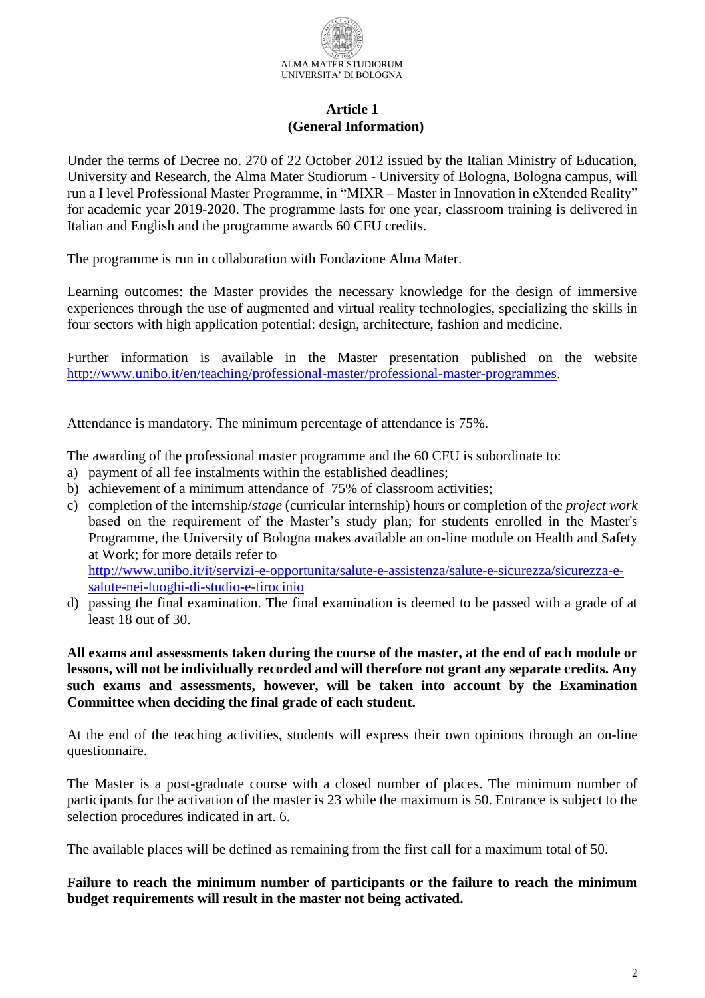

# **Article 1 (General Information)**

<span id="page-1-0"></span>Under the terms of Decree no. 270 of 22 October 2012 issued by the Italian Ministry of Education, University and Research, the Alma Mater Studiorum - University of Bologna, Bologna campus, will run a I level Professional Master Programme, in "MIXR – Master in Innovation in eXtended Reality" for academic year 2019-2020. The programme lasts for one year, classroom training is delivered in Italian and English and the programme awards 60 CFU credits.

The programme is run in collaboration with Fondazione Alma Mater.

Learning outcomes: the Master provides the necessary knowledge for the design of immersive experiences through the use of augmented and virtual reality technologies, specializing the skills in four sectors with high application potential: design, architecture, fashion and medicine.

Further information is available in the Master presentation published on the website [http://www.unibo.it/en/teaching/professional-master/professional-master-programmes.](http://www.unibo.it/en/teaching/professional-master/professional-master-programmes)

Attendance is mandatory. The minimum percentage of attendance is 75%.

The awarding of the professional master programme and the 60 CFU is subordinate to:

- a) payment of all fee instalments within the established deadlines;
- b) achievement of a minimum attendance of 75% of classroom activities;
- c) completion of the internship/*stage* (curricular internship) hours or completion of the *project work* based on the requirement of the Master's study plan; for students enrolled in the Master's Programme, the University of Bologna makes available an on-line module on Health and Safety at Work; for more details refer to

[http://www.unibo.it/it/servizi-e-opportunita/salute-e-assistenza/salute-e-sicurezza/sicurezza-e](http://www.unibo.it/it/servizi-e-opportunita/salute-e-assistenza/salute-e-sicurezza/sicurezza-e-salute-nei-luoghi-di-studio-e-tirocinio)[salute-nei-luoghi-di-studio-e-tirocinio](http://www.unibo.it/it/servizi-e-opportunita/salute-e-assistenza/salute-e-sicurezza/sicurezza-e-salute-nei-luoghi-di-studio-e-tirocinio)

d) passing the final examination. The final examination is deemed to be passed with a grade of at least 18 out of 30.

## **All exams and assessments taken during the course of the master, at the end of each module or lessons, will not be individually recorded and will therefore not grant any separate credits. Any such exams and assessments, however, will be taken into account by the Examination Committee when deciding the final grade of each student.**

At the end of the teaching activities, students will express their own opinions through an on-line questionnaire.

The Master is a post-graduate course with a closed number of places. The minimum number of participants for the activation of the master is 23 while the maximum is 50. Entrance is subject to the selection procedures indicated in art. 6.

The available places will be defined as remaining from the first call for a maximum total of 50.

**Failure to reach the minimum number of participants or the failure to reach the minimum budget requirements will result in the master not being activated.**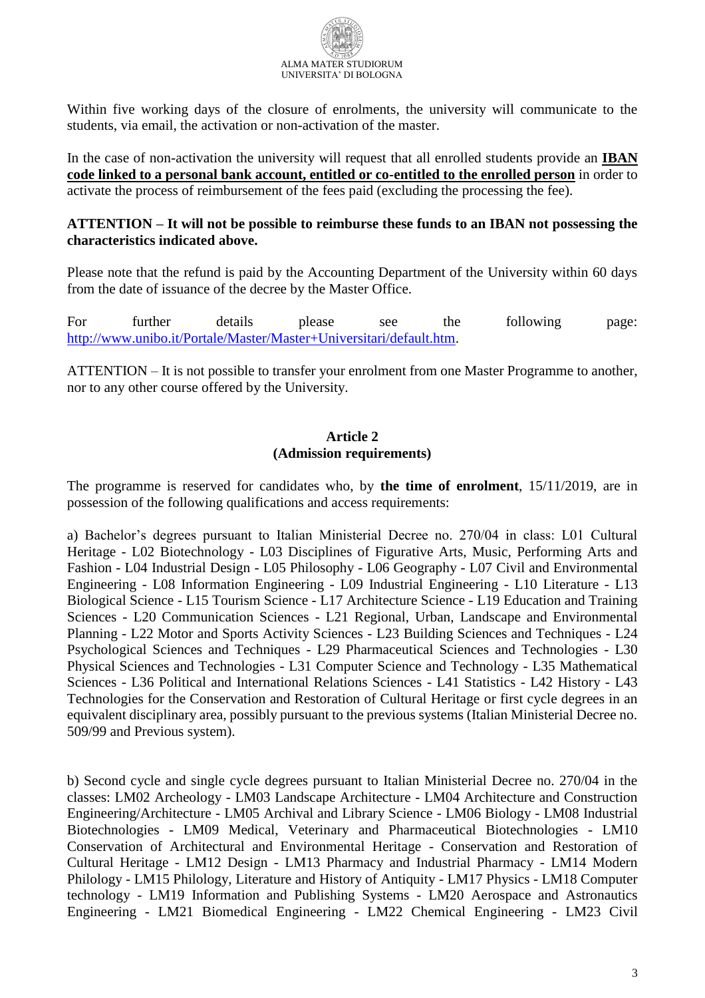

Within five working days of the closure of enrolments, the university will communicate to the students, via email, the activation or non-activation of the master.

In the case of non-activation the university will request that all enrolled students provide an **IBAN code linked to a personal bank account, entitled or co-entitled to the enrolled person** in order to activate the process of reimbursement of the fees paid (excluding the processing the fee).

# **ATTENTION – It will not be possible to reimburse these funds to an IBAN not possessing the characteristics indicated above.**

Please note that the refund is paid by the Accounting Department of the University within 60 days from the date of issuance of the decree by the Master Office.

For further details please see the following page: [http://www.unibo.it/Portale/Master/Master+Universitari/default.htm.](http://www.unibo.it/Portale/Master/Master+Universitari/default.htm)

<span id="page-2-0"></span>ATTENTION – It is not possible to transfer your enrolment from one Master Programme to another, nor to any other course offered by the University.

# **Article 2 (Admission requirements)**

The programme is reserved for candidates who, by **the time of enrolment**, 15/11/2019, are in possession of the following qualifications and access requirements:

a) Bachelor's degrees pursuant to Italian Ministerial Decree no. 270/04 in class: L01 Cultural Heritage - L02 Biotechnology - L03 Disciplines of Figurative Arts, Music, Performing Arts and Fashion - L04 Industrial Design - L05 Philosophy - L06 Geography - L07 Civil and Environmental Engineering - L08 Information Engineering - L09 Industrial Engineering - L10 Literature - L13 Biological Science - L15 Tourism Science - L17 Architecture Science - L19 Education and Training Sciences - L20 Communication Sciences - L21 Regional, Urban, Landscape and Environmental Planning - L22 Motor and Sports Activity Sciences - L23 Building Sciences and Techniques - L24 Psychological Sciences and Techniques - L29 Pharmaceutical Sciences and Technologies - L30 Physical Sciences and Technologies - L31 Computer Science and Technology - L35 Mathematical Sciences - L36 Political and International Relations Sciences - L41 Statistics - L42 History - L43 Technologies for the Conservation and Restoration of Cultural Heritage or first cycle degrees in an equivalent disciplinary area, possibly pursuant to the previous systems (Italian Ministerial Decree no. 509/99 and Previous system).

b) Second cycle and single cycle degrees pursuant to Italian Ministerial Decree no. 270/04 in the classes: LM02 Archeology - LM03 Landscape Architecture - LM04 Architecture and Construction Engineering/Architecture - LM05 Archival and Library Science - LM06 Biology - LM08 Industrial Biotechnologies - LM09 Medical, Veterinary and Pharmaceutical Biotechnologies - LM10 Conservation of Architectural and Environmental Heritage - Conservation and Restoration of Cultural Heritage - LM12 Design - LM13 Pharmacy and Industrial Pharmacy - LM14 Modern Philology - LM15 Philology, Literature and History of Antiquity - LM17 Physics - LM18 Computer technology - LM19 Information and Publishing Systems - LM20 Aerospace and Astronautics Engineering - LM21 Biomedical Engineering - LM22 Chemical Engineering - LM23 Civil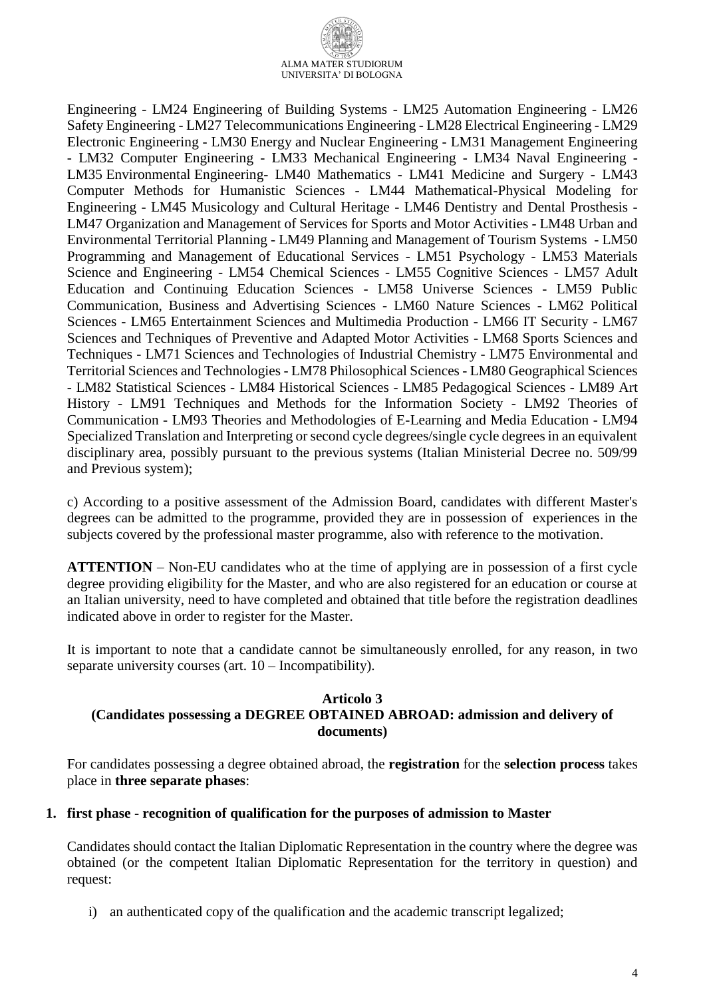# ALMA MATER STUDIORUM UNIVERSITA' DI BOLOGNA

Engineering - LM24 Engineering of Building Systems - LM25 Automation Engineering - LM26 Safety Engineering - LM27 Telecommunications Engineering - LM28 Electrical Engineering - LM29 Electronic Engineering - LM30 Energy and Nuclear Engineering - LM31 Management Engineering - LM32 Computer Engineering - LM33 Mechanical Engineering - LM34 Naval Engineering - LM35 Environmental Engineering- LM40 Mathematics - LM41 Medicine and Surgery - LM43 Computer Methods for Humanistic Sciences - LM44 Mathematical-Physical Modeling for Engineering - LM45 Musicology and Cultural Heritage - LM46 Dentistry and Dental Prosthesis - LM47 Organization and Management of Services for Sports and Motor Activities - LM48 Urban and Environmental Territorial Planning - LM49 Planning and Management of Tourism Systems - LM50 Programming and Management of Educational Services - LM51 Psychology - LM53 Materials Science and Engineering - LM54 Chemical Sciences - LM55 Cognitive Sciences - LM57 Adult Education and Continuing Education Sciences - LM58 Universe Sciences - LM59 Public Communication, Business and Advertising Sciences - LM60 Nature Sciences - LM62 Political Sciences - LM65 Entertainment Sciences and Multimedia Production - LM66 IT Security - LM67 Sciences and Techniques of Preventive and Adapted Motor Activities - LM68 Sports Sciences and Techniques - LM71 Sciences and Technologies of Industrial Chemistry - LM75 Environmental and Territorial Sciences and Technologies - LM78 Philosophical Sciences - LM80 Geographical Sciences - LM82 Statistical Sciences - LM84 Historical Sciences - LM85 Pedagogical Sciences - LM89 Art History - LM91 Techniques and Methods for the Information Society - LM92 Theories of Communication - LM93 Theories and Methodologies of E-Learning and Media Education - LM94 Specialized Translation and Interpreting or second cycle degrees/single cycle degrees in an equivalent disciplinary area, possibly pursuant to the previous systems (Italian Ministerial Decree no. 509/99 and Previous system);

c) According to a positive assessment of the Admission Board, candidates with different Master's degrees can be admitted to the programme, provided they are in possession of experiences in the subjects covered by the professional master programme, also with reference to the motivation.

**ATTENTION** – Non-EU candidates who at the time of applying are in possession of a first cycle degree providing eligibility for the Master, and who are also registered for an education or course at an Italian university, need to have completed and obtained that title before the registration deadlines indicated above in order to register for the Master.

It is important to note that a candidate cannot be simultaneously enrolled, for any reason, in two separate university courses (art. 10 – Incompatibility).

#### **Articolo 3**

# <span id="page-3-0"></span>**(Candidates possessing a DEGREE OBTAINED ABROAD: admission and delivery of documents)**

For candidates possessing a degree obtained abroad, the **registration** for the **selection process** takes place in **three separate phases**:

#### **1. first phase - recognition of qualification for the purposes of admission to Master**

Candidates should contact the Italian Diplomatic Representation in the country where the degree was obtained (or the competent Italian Diplomatic Representation for the territory in question) and request:

i) an authenticated copy of the qualification and the academic transcript legalized;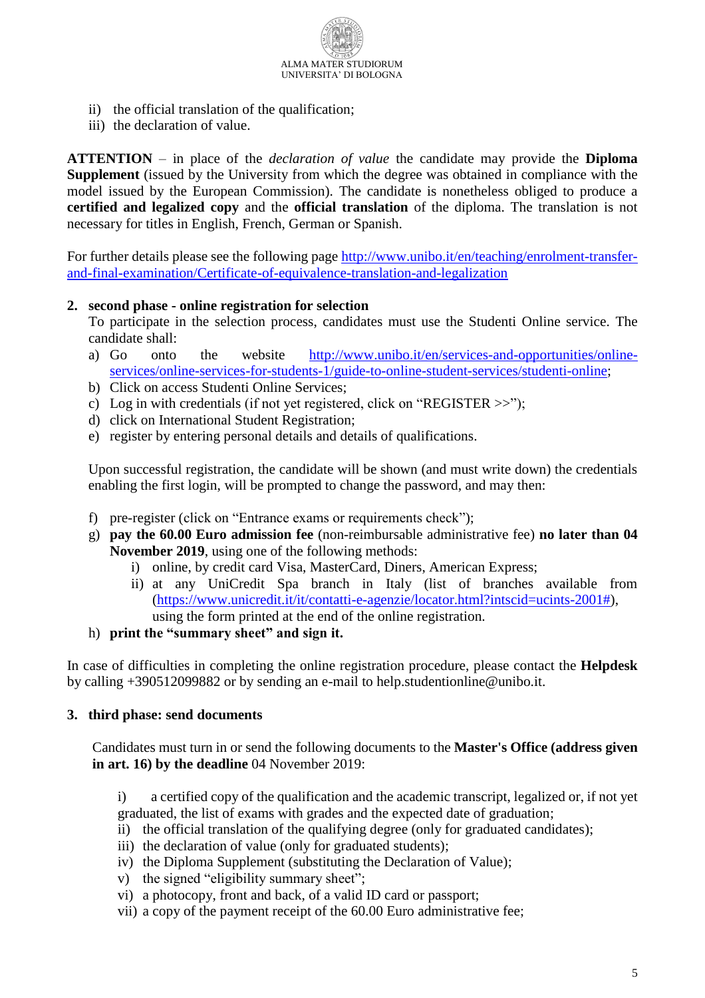

- ii) the official translation of the qualification;
- iii) the declaration of value.

**ATTENTION** – in place of the *declaration of value* the candidate may provide the **Diploma Supplement** (issued by the University from which the degree was obtained in compliance with the model issued by the European Commission). The candidate is nonetheless obliged to produce a **certified and legalized copy** and the **official translation** of the diploma. The translation is not necessary for titles in English, French, German or Spanish.

For further details please see the following page [http://www.unibo.it/en/teaching/enrolment-transfer](http://www.unibo.it/en/teaching/enrolment-transfer-and-final-examination/Certificate-of-equivalence-translation-and-legalization)[and-final-examination/Certificate-of-equivalence-translation-and-legalization](http://www.unibo.it/en/teaching/enrolment-transfer-and-final-examination/Certificate-of-equivalence-translation-and-legalization)

#### **2. second phase - online registration for selection**

To participate in the selection process, candidates must use the Studenti Online service. The candidate shall:

- a) Go onto the website [http://www.unibo.it/en/services-and-opportunities/online](http://www.unibo.it/en/services-and-opportunities/online-services/online-services-for-students-1/guide-to-online-student-services/studenti-online)[services/online-services-for-students-1/guide-to-online-student-services/studenti-online;](http://www.unibo.it/en/services-and-opportunities/online-services/online-services-for-students-1/guide-to-online-student-services/studenti-online)
- b) Click on access Studenti Online Services;
- c) Log in with credentials (if not yet registered, click on "REGISTER >>");
- d) click on International Student Registration;
- e) register by entering personal details and details of qualifications.

Upon successful registration, the candidate will be shown (and must write down) the credentials enabling the first login, will be prompted to change the password, and may then:

- f) pre-register (click on "Entrance exams or requirements check");
- g) **pay the 60.00 Euro admission fee** (non-reimbursable administrative fee) **no later than 04 November 2019**, using one of the following methods:
	- i) online, by credit card Visa, MasterCard, Diners, American Express;
	- ii) at any UniCredit Spa branch in Italy (list of branches available from [\(https://www.unicredit.it/it/contatti-e-agenzie/locator.html?intscid=ucints-2001#\)](https://www.unicredit.it/it/contatti-e-agenzie/locator.html?intscid=ucints-2001), using the form printed at the end of the online registration.
- h) **print the "summary sheet" and sign it.**

In case of difficulties in completing the online registration procedure, please contact the **Helpdesk**  by calling +390512099882 or by sending an e-mail to help.studentionline@unibo.it.

#### **3. third phase: send documents**

Candidates must turn in or send the following documents to the **Master's Office (address given in art. 16) by the deadline** 04 November 2019:

i) a certified copy of the qualification and the academic transcript, legalized or, if not yet graduated, the list of exams with grades and the expected date of graduation;

- ii) the official translation of the qualifying degree (only for graduated candidates);
- iii) the declaration of value (only for graduated students);
- iv) the Diploma Supplement (substituting the Declaration of Value);
- v) the signed "eligibility summary sheet";
- vi) a photocopy, front and back, of a valid ID card or passport;
- vii) a copy of the payment receipt of the 60.00 Euro administrative fee;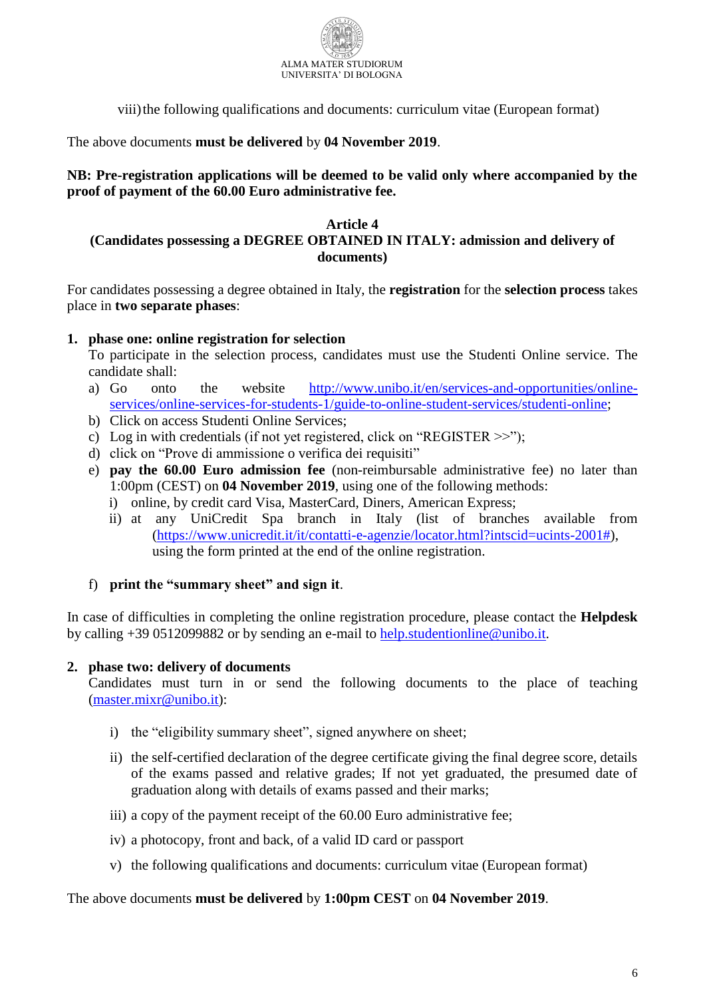<span id="page-5-0"></span>

viii) the following qualifications and documents: curriculum vitae (European format)

The above documents **must be delivered** by **04 November 2019**.

# **NB: Pre-registration applications will be deemed to be valid only where accompanied by the proof of payment of the 60.00 Euro administrative fee.**

#### **Article 4 (Candidates possessing a DEGREE OBTAINED IN ITALY: admission and delivery of documents)**

For candidates possessing a degree obtained in Italy, the **registration** for the **selection process** takes place in **two separate phases**:

## **1. phase one: online registration for selection**

To participate in the selection process, candidates must use the Studenti Online service. The candidate shall:

- a) Go onto the website [http://www.unibo.it/en/services-and-opportunities/online](http://www.unibo.it/en/services-and-opportunities/online-services/online-services-for-students-1/guide-to-online-student-services/studenti-online)[services/online-services-for-students-1/guide-to-online-student-services/studenti-online;](http://www.unibo.it/en/services-and-opportunities/online-services/online-services-for-students-1/guide-to-online-student-services/studenti-online)
- b) Click on access Studenti Online Services;
- c) Log in with credentials (if not yet registered, click on "REGISTER >>");
- d) click on "Prove di ammissione o verifica dei requisiti"
- e) **pay the 60.00 Euro admission fee** (non-reimbursable administrative fee) no later than 1:00pm (CEST) on **04 November 2019**, using one of the following methods:
	- i) online, by credit card Visa, MasterCard, Diners, American Express;
	- ii) at any UniCredit Spa branch in Italy (list of branches available from [\(https://www.unicredit.it/it/contatti-e-agenzie/locator.html?intscid=ucints-2001#\)](https://www.unicredit.it/it/contatti-e-agenzie/locator.html?intscid=ucints-2001), using the form printed at the end of the online registration.

# f) **print the "summary sheet" and sign it**.

In case of difficulties in completing the online registration procedure, please contact the **Helpdesk**  by calling +39 0512099882 or by sending an e-mail to [help.studentionline@unibo.it.](mailto:help.studentionline@unibo.it)

#### **2. phase two: delivery of documents**

Candidates must turn in or send the following documents to the place of teaching (master.mixr@unibo.it):

- i) the "eligibility summary sheet", signed anywhere on sheet;
- ii) the self-certified declaration of the degree certificate giving the final degree score, details of the exams passed and relative grades; If not yet graduated, the presumed date of graduation along with details of exams passed and their marks;
- iii) a copy of the payment receipt of the 60.00 Euro administrative fee;
- iv) a photocopy, front and back, of a valid ID card or passport
- v) the following qualifications and documents: curriculum vitae (European format)

#### The above documents **must be delivered** by **1:00pm CEST** on **04 November 2019**.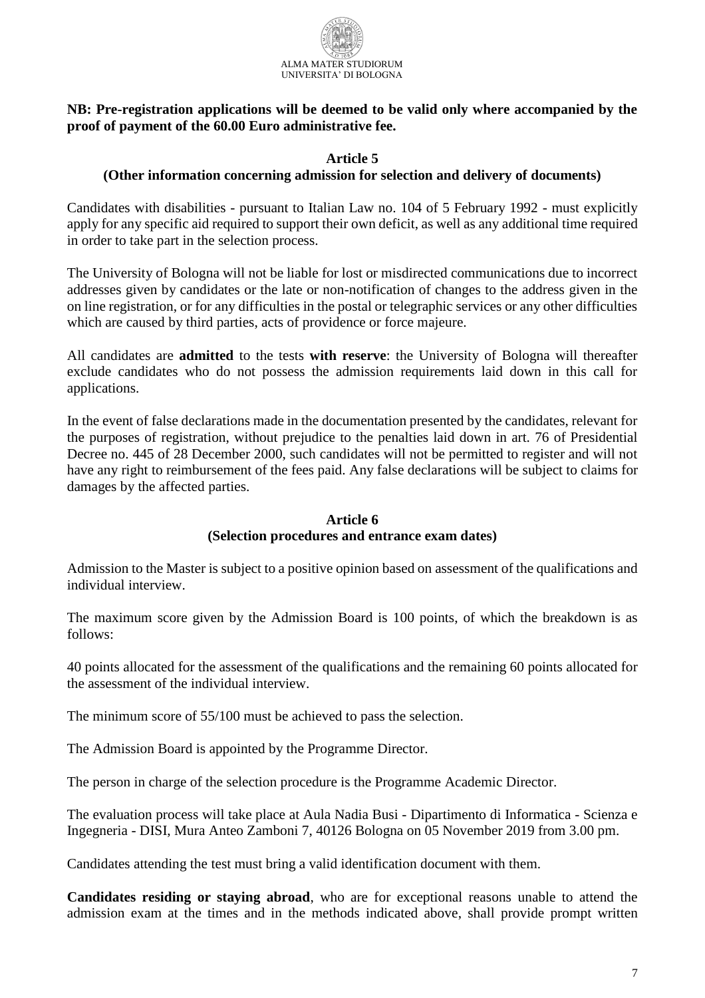

# **NB: Pre-registration applications will be deemed to be valid only where accompanied by the proof of payment of the 60.00 Euro administrative fee.**

## **Article 5**

## <span id="page-6-0"></span>**(Other information concerning admission for selection and delivery of documents)**

Candidates with disabilities - pursuant to Italian Law no. 104 of 5 February 1992 - must explicitly apply for any specific aid required to support their own deficit, as well as any additional time required in order to take part in the selection process.

The University of Bologna will not be liable for lost or misdirected communications due to incorrect addresses given by candidates or the late or non-notification of changes to the address given in the on line registration, or for any difficulties in the postal or telegraphic services or any other difficulties which are caused by third parties, acts of providence or force majeure.

All candidates are **admitted** to the tests **with reserve**: the University of Bologna will thereafter exclude candidates who do not possess the admission requirements laid down in this call for applications.

In the event of false declarations made in the documentation presented by the candidates, relevant for the purposes of registration, without prejudice to the penalties laid down in art. 76 of Presidential Decree no. 445 of 28 December 2000, such candidates will not be permitted to register and will not have any right to reimbursement of the fees paid. Any false declarations will be subject to claims for damages by the affected parties.

#### **Article 6**

#### **(Selection procedures and entrance exam dates)**

<span id="page-6-1"></span>Admission to the Master is subject to a positive opinion based on assessment of the qualifications and individual interview.

The maximum score given by the Admission Board is 100 points, of which the breakdown is as follows:

40 points allocated for the assessment of the qualifications and the remaining 60 points allocated for the assessment of the individual interview.

The minimum score of 55/100 must be achieved to pass the selection.

The Admission Board is appointed by the Programme Director.

The person in charge of the selection procedure is the Programme Academic Director.

The evaluation process will take place at Aula Nadia Busi - Dipartimento di Informatica - Scienza e Ingegneria - DISI, Mura Anteo Zamboni 7, 40126 Bologna on 05 November 2019 from 3.00 pm.

Candidates attending the test must bring a valid identification document with them.

**Candidates residing or staying abroad**, who are for exceptional reasons unable to attend the admission exam at the times and in the methods indicated above, shall provide prompt written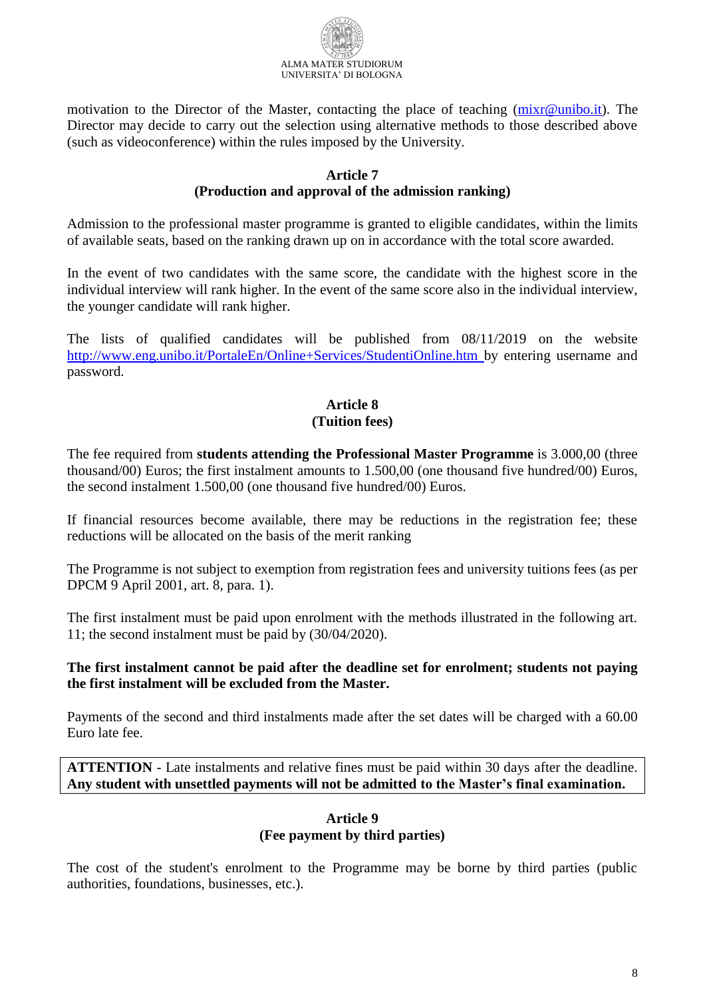

motivation to the Director of the Master, contacting the place of teaching (mixr@unibo.it). The Director may decide to carry out the selection using alternative methods to those described above (such as videoconference) within the rules imposed by the University.

## **Article 7**

#### **(Production and approval of the admission ranking)**

<span id="page-7-0"></span>Admission to the professional master programme is granted to eligible candidates, within the limits of available seats, based on the ranking drawn up on in accordance with the total score awarded.

In the event of two candidates with the same score, the candidate with the highest score in the individual interview will rank higher. In the event of the same score also in the individual interview, the younger candidate will rank higher.

The lists of qualified candidates will be published from 08/11/2019 on the website <http://www.eng.unibo.it/PortaleEn/Online+Services/StudentiOnline.htm> by entering username and password.

# **Article 8 (Tuition fees)**

<span id="page-7-1"></span>The fee required from **students attending the Professional Master Programme** is 3.000,00 (three thousand/00) Euros; the first instalment amounts to 1.500,00 (one thousand five hundred/00) Euros, the second instalment 1.500,00 (one thousand five hundred/00) Euros.

If financial resources become available, there may be reductions in the registration fee; these reductions will be allocated on the basis of the merit ranking

The Programme is not subject to exemption from registration fees and university tuitions fees (as per DPCM 9 April 2001, art. 8, para. 1).

The first instalment must be paid upon enrolment with the methods illustrated in the following art. 11; the second instalment must be paid by (30/04/2020).

## **The first instalment cannot be paid after the deadline set for enrolment; students not paying the first instalment will be excluded from the Master.**

Payments of the second and third instalments made after the set dates will be charged with a 60.00 Euro late fee.

<span id="page-7-2"></span>**ATTENTION** - Late instalments and relative fines must be paid within 30 days after the deadline. **Any student with unsettled payments will not be admitted to the Master's final examination.**

# **Article 9 (Fee payment by third parties)**

The cost of the student's enrolment to the Programme may be borne by third parties (public authorities, foundations, businesses, etc.).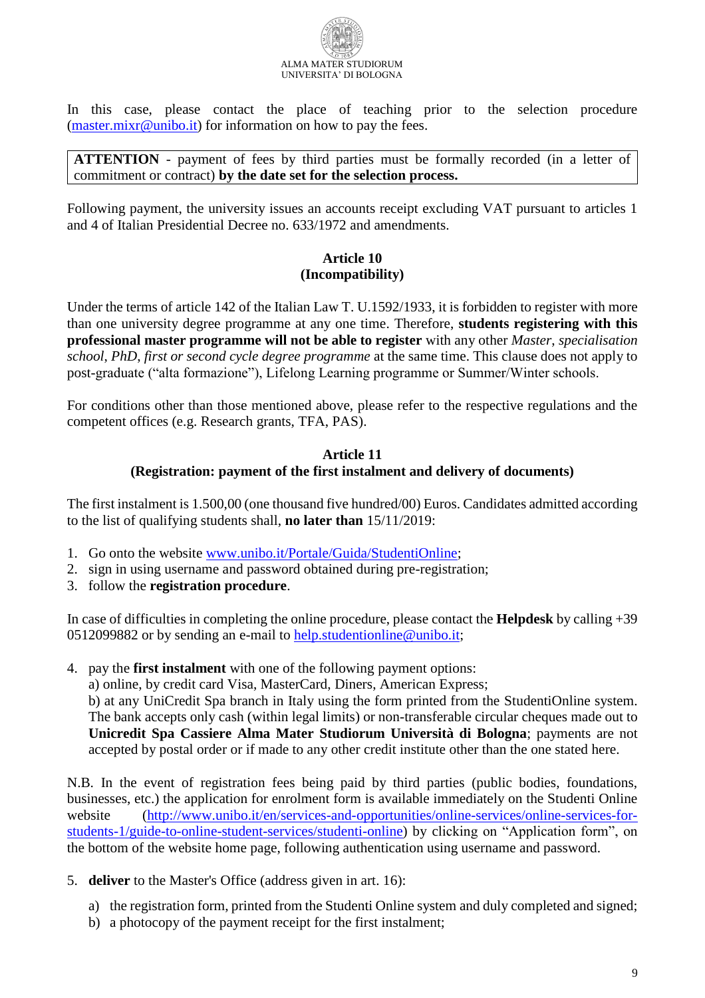

In this case, please contact the place of teaching prior to the selection procedure (master.mixr@unibo.it) for information on how to pay the fees.

# **ATTENTION** - payment of fees by third parties must be formally recorded (in a letter of commitment or contract) **by the date set for the selection process.**

<span id="page-8-0"></span>Following payment, the university issues an accounts receipt excluding VAT pursuant to articles 1 and 4 of Italian Presidential Decree no. 633/1972 and amendments.

## **Article 10 (Incompatibility)**

Under the terms of article 142 of the Italian Law T. U.1592/1933, it is forbidden to register with more than one university degree programme at any one time. Therefore, **students registering with this professional master programme will not be able to register** with any other *Master*, *specialisation school*, *PhD*, *first or second cycle degree programme* at the same time. This clause does not apply to post-graduate ("alta formazione"), Lifelong Learning programme or Summer/Winter schools.

<span id="page-8-1"></span>For conditions other than those mentioned above, please refer to the respective regulations and the competent offices (e.g. Research grants, TFA, PAS).

# **Article 11 (Registration: payment of the first instalment and delivery of documents)**

The first instalment is 1.500,00 (one thousand five hundred/00) Euros. Candidates admitted according to the list of qualifying students shall, **no later than** 15/11/2019:

- 1. Go onto the website [www.unibo.it/Portale/Guida/StudentiOnline;](http://www.unibo.it/Portale/Guida/StudentiOnline)
- 2. sign in using username and password obtained during pre-registration;
- 3. follow the **registration procedure**.

In case of difficulties in completing the online procedure, please contact the **Helpdesk** by calling +39 0512099882 or by sending an e-mail to [help.studentionline@unibo.it;](mailto:help.studentionline@unibo.it)

4. pay the **first instalment** with one of the following payment options:

a) online, by credit card Visa, MasterCard, Diners, American Express;

b) at any UniCredit Spa branch in Italy using the form printed from the StudentiOnline system. The bank accepts only cash (within legal limits) or non-transferable circular cheques made out to **Unicredit Spa Cassiere Alma Mater Studiorum Università di Bologna**; payments are not accepted by postal order or if made to any other credit institute other than the one stated here.

N.B. In the event of registration fees being paid by third parties (public bodies, foundations, businesses, etc.) the application for enrolment form is available immediately on the Studenti Online website [\(http://www.unibo.it/en/services-and-opportunities/online-services/online-services-for](http://www.unibo.it/en/services-and-opportunities/online-services/online-services-for-students-1/guide-to-online-student-services/studenti-online)[students-1/guide-to-online-student-services/studenti-online\)](http://www.unibo.it/en/services-and-opportunities/online-services/online-services-for-students-1/guide-to-online-student-services/studenti-online) by clicking on "Application form", on the bottom of the website home page, following authentication using username and password.

- 5. **deliver** to the Master's Office (address given in art. 16):
	- a) the registration form, printed from the Studenti Online system and duly completed and signed;
	- b) a photocopy of the payment receipt for the first instalment;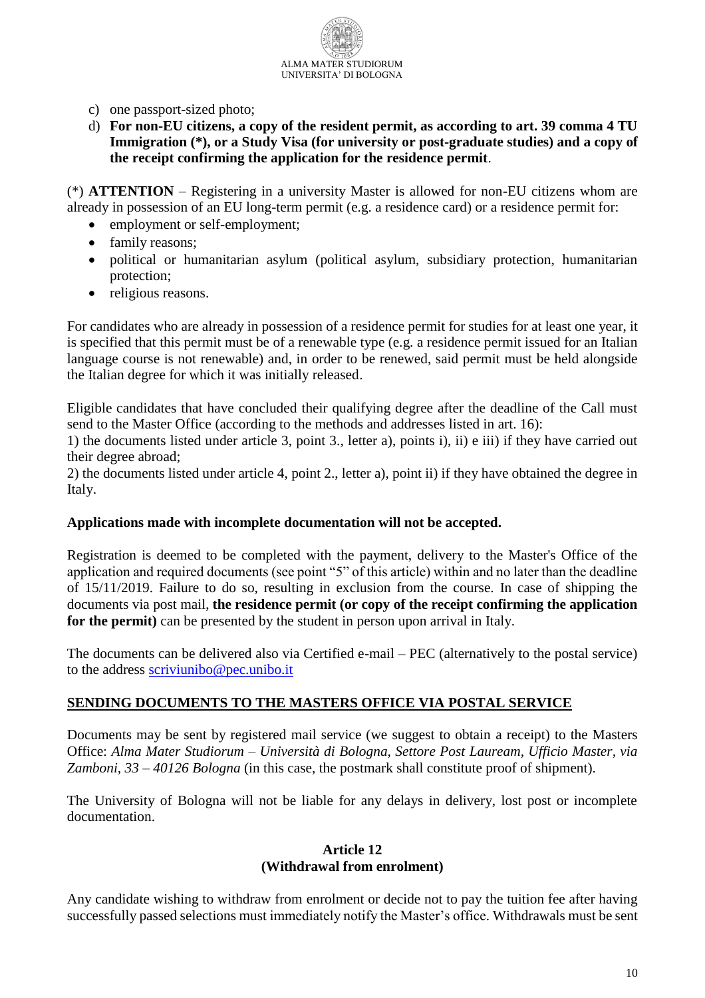

- c) one passport-sized photo;
- d) **For non-EU citizens, a copy of the resident permit, as according to art. 39 comma 4 TU Immigration (\*), or a Study Visa (for university or post-graduate studies) and a copy of the receipt confirming the application for the residence permit**.

(\*) **ATTENTION** – Registering in a university Master is allowed for non-EU citizens whom are already in possession of an EU long-term permit (e.g. a residence card) or a residence permit for:

- employment or self-employment;
- family reasons:
- political or humanitarian asylum (political asylum, subsidiary protection, humanitarian protection;
- religious reasons.

For candidates who are already in possession of a residence permit for studies for at least one year, it is specified that this permit must be of a renewable type (e.g. a residence permit issued for an Italian language course is not renewable) and, in order to be renewed, said permit must be held alongside the Italian degree for which it was initially released.

Eligible candidates that have concluded their qualifying degree after the deadline of the Call must send to the Master Office (according to the methods and addresses listed in art. 16):

1) the documents listed under article 3, point 3., letter a), points i), ii) e iii) if they have carried out their degree abroad;

2) the documents listed under article 4, point 2., letter a), point ii) if they have obtained the degree in Italy.

#### **Applications made with incomplete documentation will not be accepted.**

Registration is deemed to be completed with the payment, delivery to the Master's Office of the application and required documents (see point "5" of this article) within and no later than the deadline of 15/11/2019. Failure to do so, resulting in exclusion from the course. In case of shipping the documents via post mail, **the residence permit (or copy of the receipt confirming the application**  for the permit) can be presented by the student in person upon arrival in Italy.

The documents can be delivered also via Certified e-mail – PEC (alternatively to the postal service) to the address [scriviunibo@pec.unibo.it](mailto:scriviunibo@pec.unibo.it)

#### **SENDING DOCUMENTS TO THE MASTERS OFFICE VIA POSTAL SERVICE**

Documents may be sent by registered mail service (we suggest to obtain a receipt) to the Masters Office: *Alma Mater Studiorum – Università di Bologna, Settore Post Lauream, Ufficio Master, via Zamboni, 33 – 40126 Bologna* (in this case, the postmark shall constitute proof of shipment).

<span id="page-9-0"></span>The University of Bologna will not be liable for any delays in delivery, lost post or incomplete documentation.

## **Article 12 (Withdrawal from enrolment)**

Any candidate wishing to withdraw from enrolment or decide not to pay the tuition fee after having successfully passed selections must immediately notify the Master's office. Withdrawals must be sent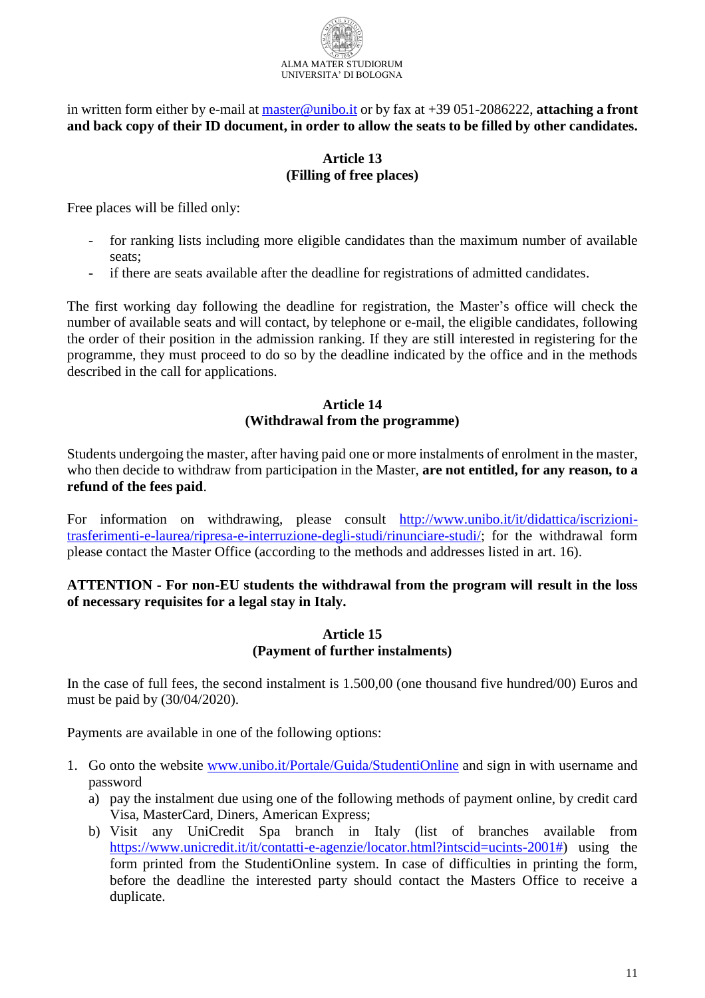

in written form either by e-mail at [master@unibo.it](mailto:master@unibo.it) or by fax at +39 051-2086222, **attaching a front and back copy of their ID document, in order to allow the seats to be filled by other candidates.**

# **Article 13 (Filling of free places)**

<span id="page-10-0"></span>Free places will be filled only:

- for ranking lists including more eligible candidates than the maximum number of available seats;
- if there are seats available after the deadline for registrations of admitted candidates.

The first working day following the deadline for registration, the Master's office will check the number of available seats and will contact, by telephone or e-mail, the eligible candidates, following the order of their position in the admission ranking. If they are still interested in registering for the programme, they must proceed to do so by the deadline indicated by the office and in the methods described in the call for applications.

## **Article 14 (Withdrawal from the programme)**

<span id="page-10-1"></span>Students undergoing the master, after having paid one or more instalments of enrolment in the master, who then decide to withdraw from participation in the Master, **are not entitled, for any reason, to a refund of the fees paid**.

For information on withdrawing, please consult [http://www.unibo.it/it/didattica/iscrizioni](http://www.unibo.it/it/didattica/iscrizioni-trasferimenti-e-laurea/ripresa-e-interruzione-degli-studi/rinunciare-studi/)[trasferimenti-e-laurea/ripresa-e-interruzione-degli-studi/rinunciare-studi/;](http://www.unibo.it/it/didattica/iscrizioni-trasferimenti-e-laurea/ripresa-e-interruzione-degli-studi/rinunciare-studi/) for the withdrawal form please contact the Master Office (according to the methods and addresses listed in art. 16).

## **ATTENTION - For non-EU students the withdrawal from the program will result in the loss of necessary requisites for a legal stay in Italy.**

## **Article 15 (Payment of further instalments)**

<span id="page-10-2"></span>In the case of full fees, the second instalment is 1.500,00 (one thousand five hundred/00) Euros and must be paid by (30/04/2020).

Payments are available in one of the following options:

- 1. Go onto the website [www.unibo.it/Portale/Guida/StudentiOnline](http://www.unibo.it/Portale/Guida/StudentiOnline) and sign in with username and password
	- a) pay the instalment due using one of the following methods of payment online, by credit card Visa, MasterCard, Diners, American Express;
	- b) Visit any UniCredit Spa branch in Italy (list of branches available from [https://www.unicredit.it/it/contatti-e-agenzie/locator.html?intscid=ucints-2001#\)](https://www.unicredit.it/it/contatti-e-agenzie/locator.html?intscid=ucints-2001) using the form printed from the StudentiOnline system. In case of difficulties in printing the form, before the deadline the interested party should contact the Masters Office to receive a duplicate.